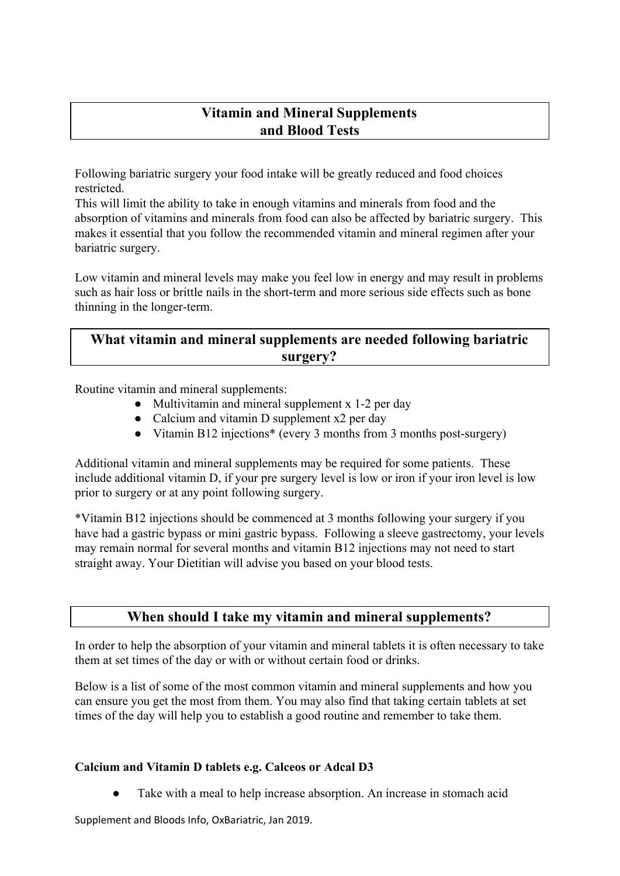# **Vitamin and Mineral Supplements and Blood Tests**

Following bariatric surgery your food intake will be greatly reduced and food choices restricted.

This will limit the ability to take in enough vitamins and minerals from food and the absorption of vitamins and minerals from food can also be affected by bariatric surgery. This makes it essential that you follow the recommended vitamin and mineral regimen after your bariatric surgery.

Low vitamin and mineral levels may make you feel low in energy and may result in problems such as hair loss or brittle nails in the short-term and more serious side effects such as bone thinning in the longer-term.

# **What vitamin and mineral supplements are needed following bariatric surgery?**

Routine vitamin and mineral supplements:

- Multivitamin and mineral supplement  $x$  1-2 per day
- **●** Calcium and vitamin D supplement x2 per day
- **●** Vitamin B12 injections\* (every 3 months from 3 months post-surgery)

Additional vitamin and mineral supplements may be required for some patients. These include additional vitamin D, if your pre surgery level is low or iron if your iron level is low prior to surgery or at any point following surgery.

\*Vitamin B12 injections should be commenced at 3 months following your surgery if you have had a gastric bypass or mini gastric bypass. Following a sleeve gastrectomy, your levels may remain normal for several months and vitamin B12 injections may not need to start straight away. Your Dietitian will advise you based on your blood tests.

### **When should I take my vitamin and mineral supplements?**

In order to help the absorption of your vitamin and mineral tablets it is often necessary to take them at set times of the day or with or without certain food or drinks.

Below is a list of some of the most common vitamin and mineral supplements and how you can ensure you get the most from them. You may also find that taking certain tablets at set times of the day will help you to establish a good routine and remember to take them.

### **Calcium and Vitamin D tablets e.g. Calceos or Adcal D3**

Take with a meal to help increase absorption. An increase in stomach acid

Supplement and Bloods Info, OxBariatric, Jan 2019.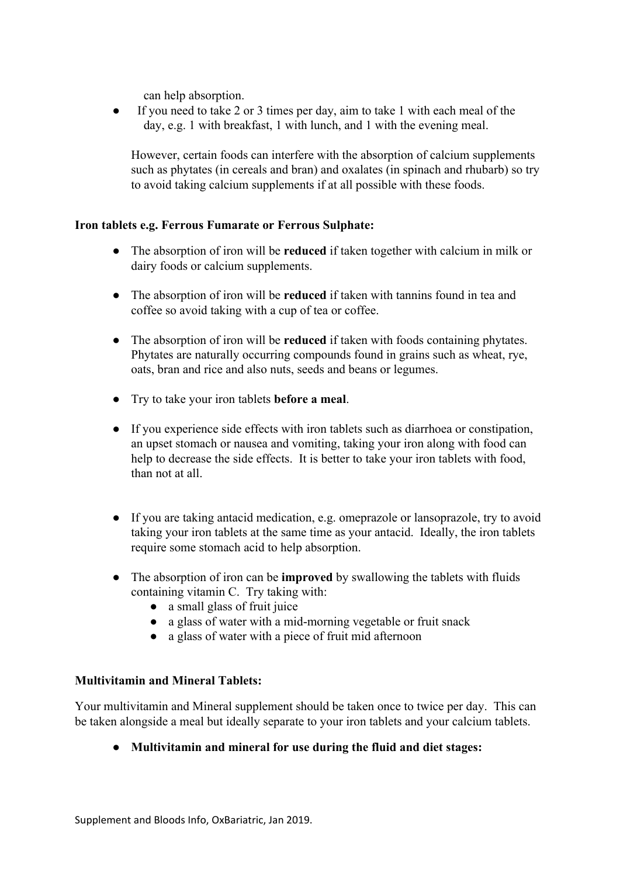can help absorption.

If you need to take 2 or 3 times per day, aim to take 1 with each meal of the day, e.g. 1 with breakfast, 1 with lunch, and 1 with the evening meal.

However, certain foods can interfere with the absorption of calcium supplements such as phytates (in cereals and bran) and oxalates (in spinach and rhubarb) so try to avoid taking calcium supplements if at all possible with these foods.

### **Iron tablets e.g. Ferrous Fumarate or Ferrous Sulphate:**

- The absorption of iron will be **reduced** if taken together with calcium in milk or dairy foods or calcium supplements.
- The absorption of iron will be **reduced** if taken with tannins found in tea and coffee so avoid taking with a cup of tea or coffee.
- The absorption of iron will be **reduced** if taken with foods containing phytates. Phytates are naturally occurring compounds found in grains such as wheat, rye, oats, bran and rice and also nuts, seeds and beans or legumes.
- Try to take your iron tablets **before a meal**.
- If you experience side effects with iron tablets such as diarrhoea or constipation, an upset stomach or nausea and vomiting, taking your iron along with food can help to decrease the side effects. It is better to take your iron tablets with food, than not at all.
- **●** If you are taking antacid medication, e.g. omeprazole or lansoprazole, try to avoid taking your iron tablets at the same time as your antacid. Ideally, the iron tablets require some stomach acid to help absorption.
- **●** The absorption of iron can be **improved** by swallowing the tablets with fluids containing vitamin C. Try taking with:
	- **●** a small glass of fruit juice
	- **●** a glass of water with a mid-morning vegetable or fruit snack
	- **●** a glass of water with a piece of fruit mid afternoon

#### **Multivitamin and Mineral Tablets:**

Your multivitamin and Mineral supplement should be taken once to twice per day. This can be taken alongside a meal but ideally separate to your iron tablets and your calcium tablets.

**● Multivitamin and mineral for use during the fluid and diet stages:**